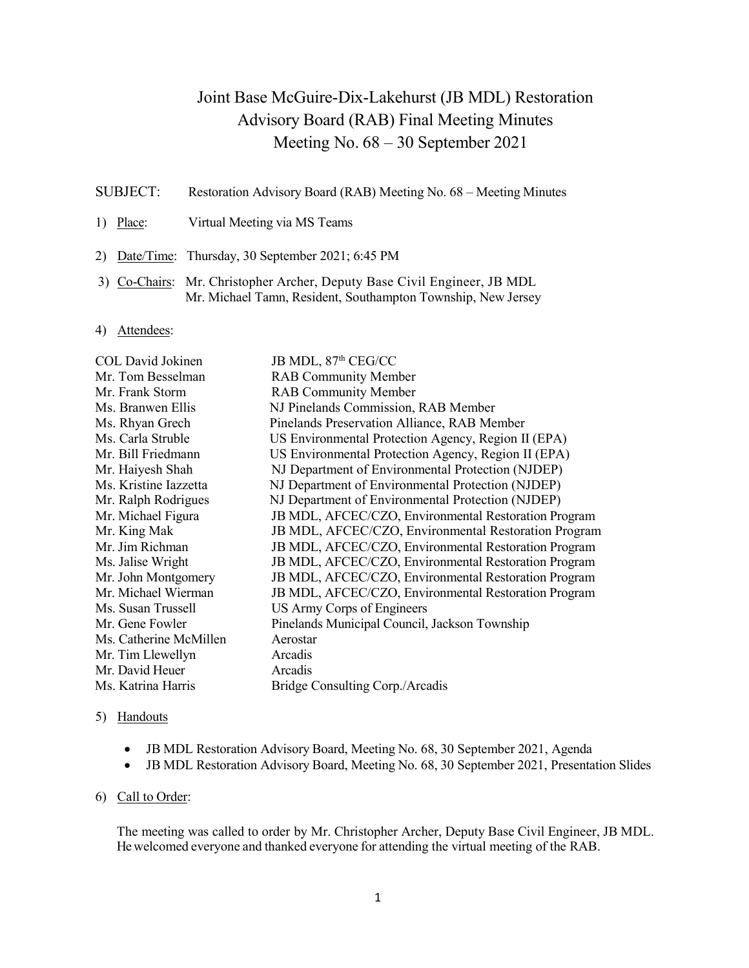# Joint Base McGuire-Dix-Lakehurst (JB MDL) Restoration Advisory Board (RAB) Final Meeting Minutes Meeting No. 68 – 30 September 2021

- SUBJECT: Restoration Advisory Board (RAB) Meeting No. 68 Meeting Minutes
- 1) Place: Virtual Meeting via MS Teams
- 2) Date/Time: Thursday, 30 September 2021; 6:45 PM
- 3) Co-Chairs: Mr. Christopher Archer, Deputy Base Civil Engineer, JB MDL Mr. Michael Tamn, Resident, Southampton Township, New Jersey
- 4) Attendees:

| COL David Jokinen      | JB MDL, 87th CEG/CC                                  |
|------------------------|------------------------------------------------------|
| Mr. Tom Besselman      | <b>RAB Community Member</b>                          |
| Mr. Frank Storm        | <b>RAB Community Member</b>                          |
| Ms. Branwen Ellis      | NJ Pinelands Commission, RAB Member                  |
| Ms. Rhyan Grech        | Pinelands Preservation Alliance, RAB Member          |
| Ms. Carla Struble      | US Environmental Protection Agency, Region II (EPA)  |
| Mr. Bill Friedmann     | US Environmental Protection Agency, Region II (EPA)  |
| Mr. Haiyesh Shah       | NJ Department of Environmental Protection (NJDEP)    |
| Ms. Kristine Iazzetta  | NJ Department of Environmental Protection (NJDEP)    |
| Mr. Ralph Rodrigues    | NJ Department of Environmental Protection (NJDEP)    |
| Mr. Michael Figura     | JB MDL, AFCEC/CZO, Environmental Restoration Program |
| Mr. King Mak           | JB MDL, AFCEC/CZO, Environmental Restoration Program |
| Mr. Jim Richman        | JB MDL, AFCEC/CZO, Environmental Restoration Program |
| Ms. Jalise Wright      | JB MDL, AFCEC/CZO, Environmental Restoration Program |
| Mr. John Montgomery    | JB MDL, AFCEC/CZO, Environmental Restoration Program |
| Mr. Michael Wierman    | JB MDL, AFCEC/CZO, Environmental Restoration Program |
| Ms. Susan Trussell     | US Army Corps of Engineers                           |
| Mr. Gene Fowler        | Pinelands Municipal Council, Jackson Township        |
| Ms. Catherine McMillen | Aerostar                                             |
| Mr. Tim Llewellyn      | Arcadis                                              |
| Mr. David Heuer        | Arcadis                                              |
| Ms. Katrina Harris     | Bridge Consulting Corp./Arcadis                      |

### 5) Handouts

- JB MDL Restoration Advisory Board, Meeting No. 68, 30 September 2021, Agenda
- JB MDL Restoration Advisory Board, Meeting No. 68, 30 September 2021, Presentation Slides

# 6) Call to Order:

The meeting was called to order by Mr. Christopher Archer, Deputy Base Civil Engineer, JB MDL. He welcomed everyone and thanked everyone for attending the virtual meeting of the RAB.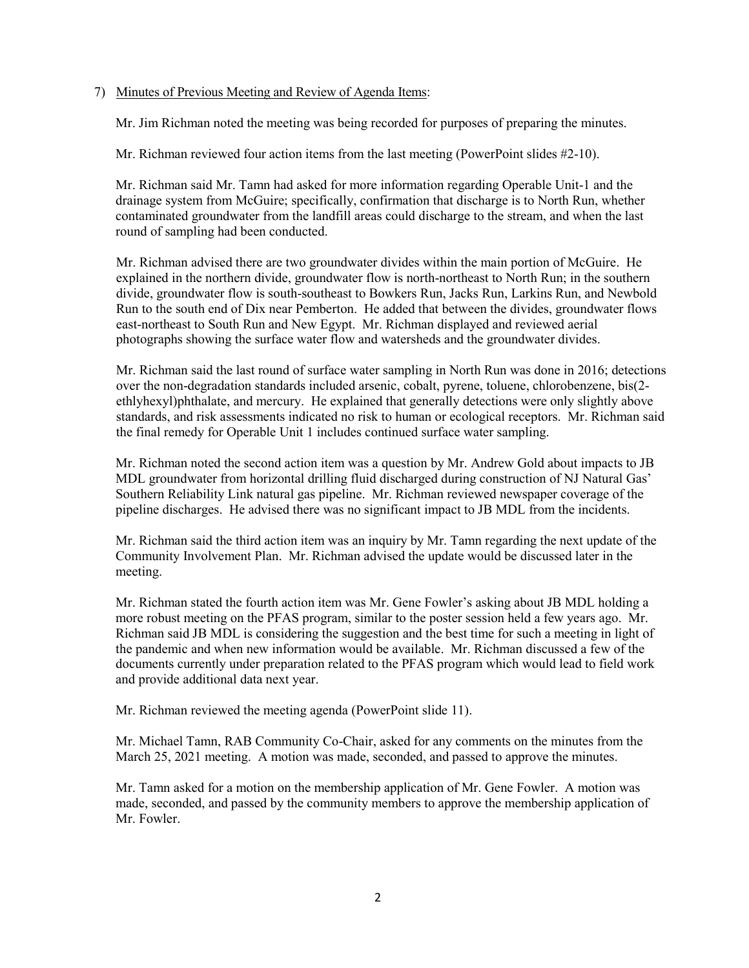# 7) Minutes of Previous Meeting and Review of Agenda Items:

Mr. Jim Richman noted the meeting was being recorded for purposes of preparing the minutes.

Mr. Richman reviewed four action items from the last meeting (PowerPoint slides #2-10).

Mr. Richman said Mr. Tamn had asked for more information regarding Operable Unit-1 and the drainage system from McGuire; specifically, confirmation that discharge is to North Run, whether contaminated groundwater from the landfill areas could discharge to the stream, and when the last round of sampling had been conducted.

Mr. Richman advised there are two groundwater divides within the main portion of McGuire. He explained in the northern divide, groundwater flow is north-northeast to North Run; in the southern divide, groundwater flow is south-southeast to Bowkers Run, Jacks Run, Larkins Run, and Newbold Run to the south end of Dix near Pemberton. He added that between the divides, groundwater flows east-northeast to South Run and New Egypt. Mr. Richman displayed and reviewed aerial photographs showing the surface water flow and watersheds and the groundwater divides.

Mr. Richman said the last round of surface water sampling in North Run was done in 2016; detections over the non-degradation standards included arsenic, cobalt, pyrene, toluene, chlorobenzene, bis(2 ethlyhexyl)phthalate, and mercury. He explained that generally detections were only slightly above standards, and risk assessments indicated no risk to human or ecological receptors. Mr. Richman said the final remedy for Operable Unit 1 includes continued surface water sampling.

Mr. Richman noted the second action item was a question by Mr. Andrew Gold about impacts to JB MDL groundwater from horizontal drilling fluid discharged during construction of NJ Natural Gas' Southern Reliability Link natural gas pipeline. Mr. Richman reviewed newspaper coverage of the pipeline discharges. He advised there was no significant impact to JB MDL from the incidents.

Mr. Richman said the third action item was an inquiry by Mr. Tamn regarding the next update of the Community Involvement Plan. Mr. Richman advised the update would be discussed later in the meeting.

Mr. Richman stated the fourth action item was Mr. Gene Fowler's asking about JB MDL holding a more robust meeting on the PFAS program, similar to the poster session held a few years ago. Mr. Richman said JB MDL is considering the suggestion and the best time for such a meeting in light of the pandemic and when new information would be available. Mr. Richman discussed a few of the documents currently under preparation related to the PFAS program which would lead to field work and provide additional data next year.

Mr. Richman reviewed the meeting agenda (PowerPoint slide 11).

Mr. Michael Tamn, RAB Community Co-Chair, asked for any comments on the minutes from the March 25, 2021 meeting. A motion was made, seconded, and passed to approve the minutes.

Mr. Tamn asked for a motion on the membership application of Mr. Gene Fowler. A motion was made, seconded, and passed by the community members to approve the membership application of Mr. Fowler.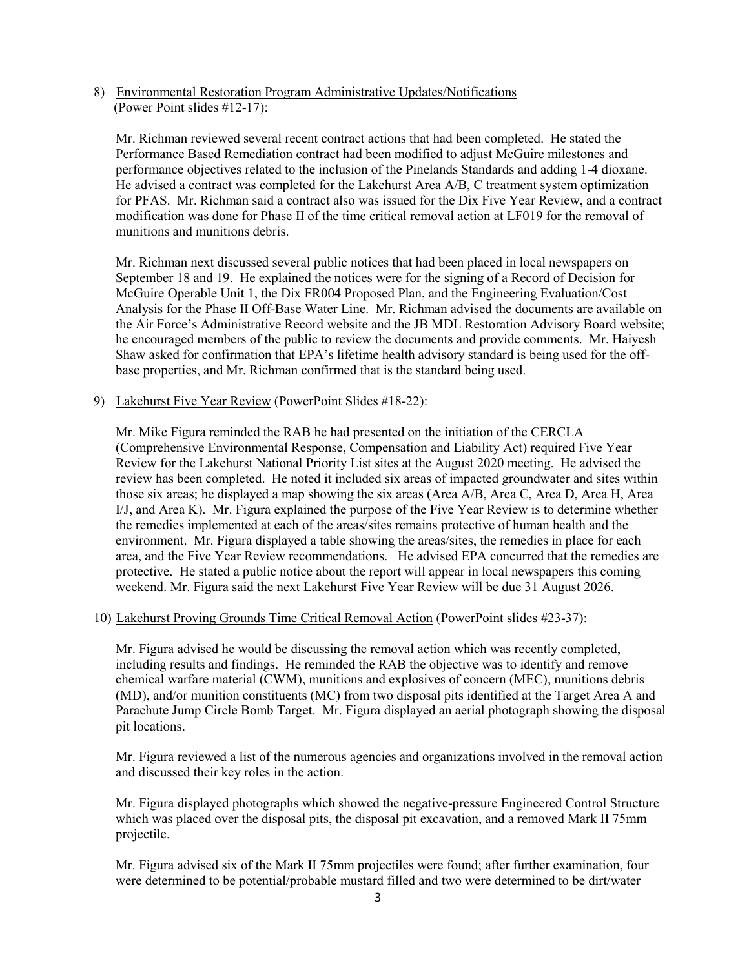8) Environmental Restoration Program Administrative Updates/Notifications (Power Point slides #12-17):

Mr. Richman reviewed several recent contract actions that had been completed. He stated the Performance Based Remediation contract had been modified to adjust McGuire milestones and performance objectives related to the inclusion of the Pinelands Standards and adding 1-4 dioxane. He advised a contract was completed for the Lakehurst Area A/B, C treatment system optimization for PFAS. Mr. Richman said a contract also was issued for the Dix Five Year Review, and a contract modification was done for Phase II of the time critical removal action at LF019 for the removal of munitions and munitions debris.

Mr. Richman next discussed several public notices that had been placed in local newspapers on September 18 and 19. He explained the notices were for the signing of a Record of Decision for McGuire Operable Unit 1, the Dix FR004 Proposed Plan, and the Engineering Evaluation/Cost Analysis for the Phase II Off-Base Water Line. Mr. Richman advised the documents are available on the Air Force's Administrative Record website and the JB MDL Restoration Advisory Board website; he encouraged members of the public to review the documents and provide comments. Mr. Haiyesh Shaw asked for confirmation that EPA's lifetime health advisory standard is being used for the offbase properties, and Mr. Richman confirmed that is the standard being used.

9) Lakehurst Five Year Review (PowerPoint Slides #18-22):

Mr. Mike Figura reminded the RAB he had presented on the initiation of the CERCLA (Comprehensive Environmental Response, Compensation and Liability Act) required Five Year Review for the Lakehurst National Priority List sites at the August 2020 meeting. He advised the review has been completed. He noted it included six areas of impacted groundwater and sites within those six areas; he displayed a map showing the six areas (Area A/B, Area C, Area D, Area H, Area I/J, and Area K). Mr. Figura explained the purpose of the Five Year Review is to determine whether the remedies implemented at each of the areas/sites remains protective of human health and the environment. Mr. Figura displayed a table showing the areas/sites, the remedies in place for each area, and the Five Year Review recommendations. He advised EPA concurred that the remedies are protective. He stated a public notice about the report will appear in local newspapers this coming weekend. Mr. Figura said the next Lakehurst Five Year Review will be due 31 August 2026.

# 10) Lakehurst Proving Grounds Time Critical Removal Action (PowerPoint slides #23-37):

Mr. Figura advised he would be discussing the removal action which was recently completed, including results and findings. He reminded the RAB the objective was to identify and remove chemical warfare material (CWM), munitions and explosives of concern (MEC), munitions debris (MD), and/or munition constituents (MC) from two disposal pits identified at the Target Area A and Parachute Jump Circle Bomb Target. Mr. Figura displayed an aerial photograph showing the disposal pit locations.

Mr. Figura reviewed a list of the numerous agencies and organizations involved in the removal action and discussed their key roles in the action.

Mr. Figura displayed photographs which showed the negative-pressure Engineered Control Structure which was placed over the disposal pits, the disposal pit excavation, and a removed Mark II 75mm projectile.

Mr. Figura advised six of the Mark II 75mm projectiles were found; after further examination, four were determined to be potential/probable mustard filled and two were determined to be dirt/water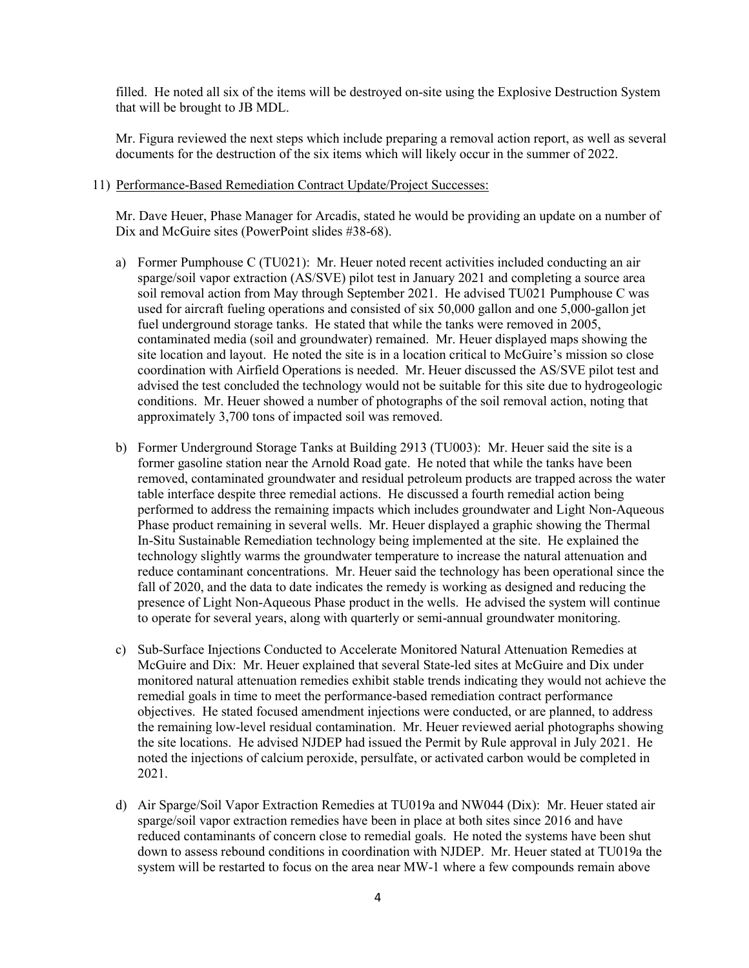filled. He noted all six of the items will be destroyed on-site using the Explosive Destruction System that will be brought to JB MDL.

Mr. Figura reviewed the next steps which include preparing a removal action report, as well as several documents for the destruction of the six items which will likely occur in the summer of 2022.

#### 11) Performance-Based Remediation Contract Update/Project Successes:

Mr. Dave Heuer, Phase Manager for Arcadis, stated he would be providing an update on a number of Dix and McGuire sites (PowerPoint slides #38-68).

- a) Former Pumphouse C (TU021): Mr. Heuer noted recent activities included conducting an air sparge/soil vapor extraction (AS/SVE) pilot test in January 2021 and completing a source area soil removal action from May through September 2021. He advised TU021 Pumphouse C was used for aircraft fueling operations and consisted of six 50,000 gallon and one 5,000-gallon jet fuel underground storage tanks. He stated that while the tanks were removed in 2005, contaminated media (soil and groundwater) remained. Mr. Heuer displayed maps showing the site location and layout. He noted the site is in a location critical to McGuire's mission so close coordination with Airfield Operations is needed. Mr. Heuer discussed the AS/SVE pilot test and advised the test concluded the technology would not be suitable for this site due to hydrogeologic conditions. Mr. Heuer showed a number of photographs of the soil removal action, noting that approximately 3,700 tons of impacted soil was removed.
- b) Former Underground Storage Tanks at Building 2913 (TU003): Mr. Heuer said the site is a former gasoline station near the Arnold Road gate. He noted that while the tanks have been removed, contaminated groundwater and residual petroleum products are trapped across the water table interface despite three remedial actions. He discussed a fourth remedial action being performed to address the remaining impacts which includes groundwater and Light Non-Aqueous Phase product remaining in several wells. Mr. Heuer displayed a graphic showing the Thermal In-Situ Sustainable Remediation technology being implemented at the site. He explained the technology slightly warms the groundwater temperature to increase the natural attenuation and reduce contaminant concentrations. Mr. Heuer said the technology has been operational since the fall of 2020, and the data to date indicates the remedy is working as designed and reducing the presence of Light Non-Aqueous Phase product in the wells. He advised the system will continue to operate for several years, along with quarterly or semi-annual groundwater monitoring.
- c) Sub-Surface Injections Conducted to Accelerate Monitored Natural Attenuation Remedies at McGuire and Dix: Mr. Heuer explained that several State-led sites at McGuire and Dix under monitored natural attenuation remedies exhibit stable trends indicating they would not achieve the remedial goals in time to meet the performance-based remediation contract performance objectives. He stated focused amendment injections were conducted, or are planned, to address the remaining low-level residual contamination. Mr. Heuer reviewed aerial photographs showing the site locations. He advised NJDEP had issued the Permit by Rule approval in July 2021. He noted the injections of calcium peroxide, persulfate, or activated carbon would be completed in 2021.
- d) Air Sparge/Soil Vapor Extraction Remedies at TU019a and NW044 (Dix): Mr. Heuer stated air sparge/soil vapor extraction remedies have been in place at both sites since 2016 and have reduced contaminants of concern close to remedial goals. He noted the systems have been shut down to assess rebound conditions in coordination with NJDEP. Mr. Heuer stated at TU019a the system will be restarted to focus on the area near MW-1 where a few compounds remain above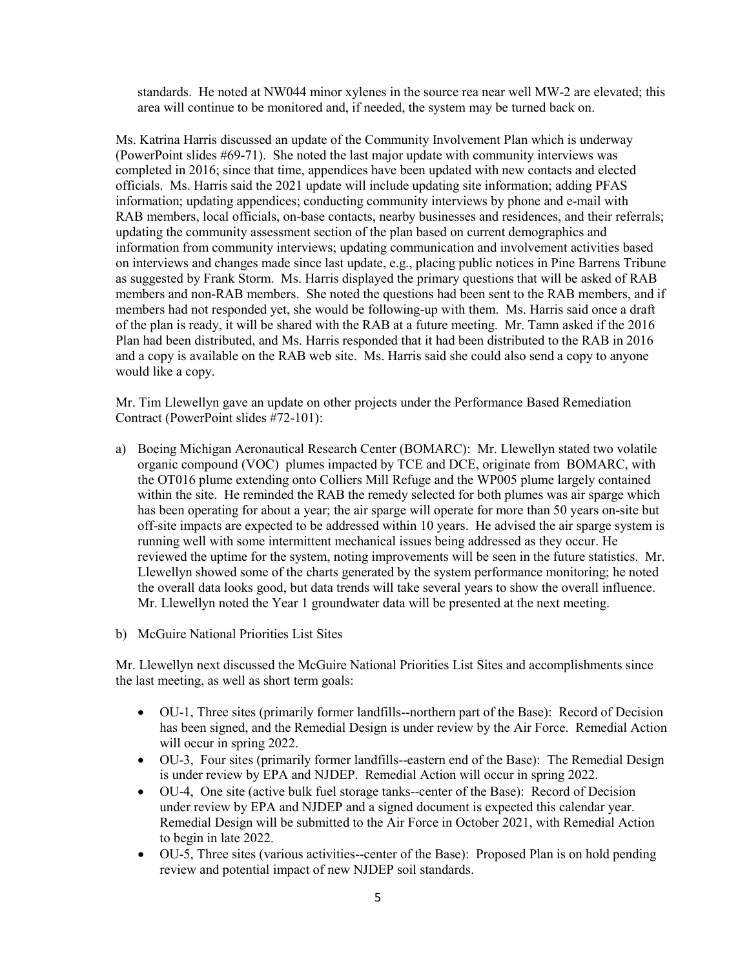standards. He noted at NW044 minor xylenes in the source rea near well MW-2 are elevated; this area will continue to be monitored and, if needed, the system may be turned back on.

Ms. Katrina Harris discussed an update of the Community Involvement Plan which is underway (PowerPoint slides #69-71). She noted the last major update with community interviews was completed in 2016; since that time, appendices have been updated with new contacts and elected officials. Ms. Harris said the 2021 update will include updating site information; adding PFAS information; updating appendices; conducting community interviews by phone and e-mail with RAB members, local officials, on-base contacts, nearby businesses and residences, and their referrals; updating the community assessment section of the plan based on current demographics and information from community interviews; updating communication and involvement activities based on interviews and changes made since last update, e.g., placing public notices in Pine Barrens Tribune as suggested by Frank Storm. Ms. Harris displayed the primary questions that will be asked of RAB members and non-RAB members. She noted the questions had been sent to the RAB members, and if members had not responded yet, she would be following-up with them. Ms. Harris said once a draft of the plan is ready, it will be shared with the RAB at a future meeting. Mr. Tamn asked if the 2016 Plan had been distributed, and Ms. Harris responded that it had been distributed to the RAB in 2016 and a copy is available on the RAB web site. Ms. Harris said she could also send a copy to anyone would like a copy.

Mr. Tim Llewellyn gave an update on other projects under the Performance Based Remediation Contract (PowerPoint slides #72-101):

a) Boeing Michigan Aeronautical Research Center (BOMARC): Mr. Llewellyn stated two volatile organic compound (VOC) plumes impacted by TCE and DCE, originate from BOMARC, with the OT016 plume extending onto Colliers Mill Refuge and the WP005 plume largely contained within the site. He reminded the RAB the remedy selected for both plumes was air sparge which has been operating for about a year; the air sparge will operate for more than 50 years on-site but off-site impacts are expected to be addressed within 10 years. He advised the air sparge system is running well with some intermittent mechanical issues being addressed as they occur. He reviewed the uptime for the system, noting improvements will be seen in the future statistics. Mr. Llewellyn showed some of the charts generated by the system performance monitoring; he noted the overall data looks good, but data trends will take several years to show the overall influence. Mr. Llewellyn noted the Year 1 groundwater data will be presented at the next meeting.

b) McGuire National Priorities List Sites

Mr. Llewellyn next discussed the McGuire National Priorities List Sites and accomplishments since the last meeting, as well as short term goals:

- OU-1, Three sites (primarily former landfills--northern part of the Base): Record of Decision has been signed, and the Remedial Design is under review by the Air Force. Remedial Action will occur in spring 2022.
- OU-3, Four sites (primarily former landfills--eastern end of the Base): The Remedial Design is under review by EPA and NJDEP. Remedial Action will occur in spring 2022.
- OU-4, One site (active bulk fuel storage tanks--center of the Base): Record of Decision under review by EPA and NJDEP and a signed document is expected this calendar year. Remedial Design will be submitted to the Air Force in October 2021, with Remedial Action to begin in late 2022.
- OU-5, Three sites (various activities--center of the Base): Proposed Plan is on hold pending review and potential impact of new NJDEP soil standards.